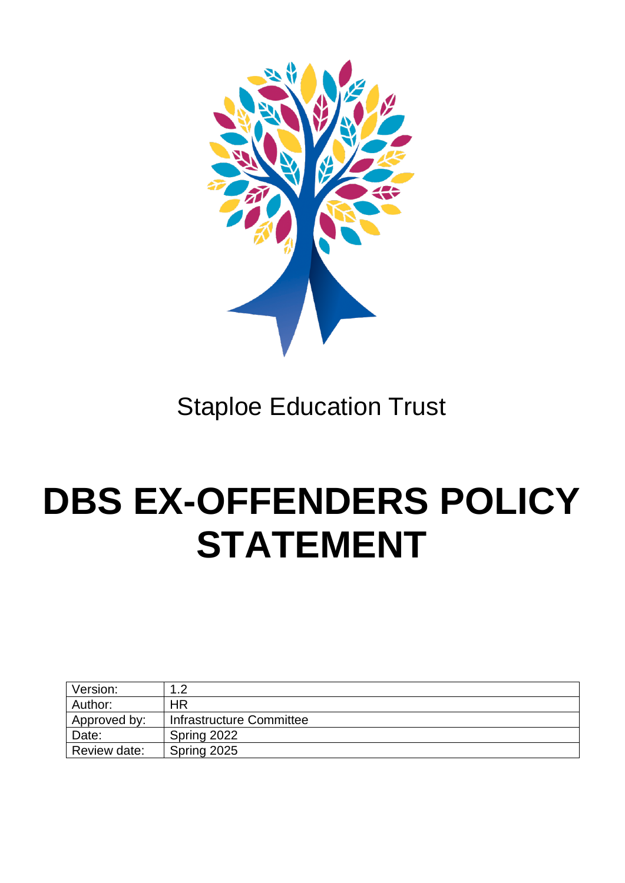

## Staploe Education Trust

## **DBS EX-OFFENDERS POLICY STATEMENT**

| Version:     | റ                        |
|--------------|--------------------------|
| Author:      | ΗR                       |
| Approved by: | Infrastructure Committee |
| Date:        | Spring 2022              |
| Review date: | Spring 2025              |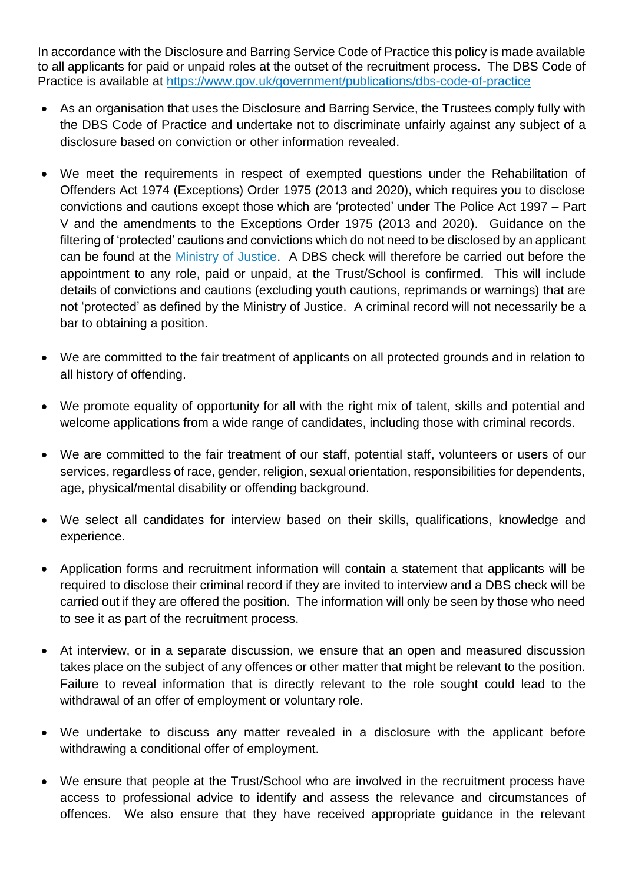In accordance with the Disclosure and Barring Service Code of Practice this policy is made available to all applicants for paid or unpaid roles at the outset of the recruitment process. The DBS Code of Practice is available at <https://www.gov.uk/government/publications/dbs-code-of-practice>

- As an organisation that uses the Disclosure and Barring Service, the Trustees comply fully with the DBS Code of Practice and undertake not to discriminate unfairly against any subject of a disclosure based on conviction or other information revealed.
- We meet the requirements in respect of exempted questions under the Rehabilitation of Offenders Act 1974 (Exceptions) Order 1975 (2013 and 2020), which requires you to disclose convictions and cautions except those which are 'protected' under The Police Act 1997 – Part V and the amendments to the Exceptions Order 1975 (2013 and 2020). Guidance on the filtering of 'protected' cautions and convictions which do not need to be disclosed by an applicant can be found at the [Ministry of Justice.](https://www.gov.uk/government/publications/new-guidance-on-the-rehabilitation-of-offenders-act-1974) A DBS check will therefore be carried out before the appointment to any role, paid or unpaid, at the Trust/School is confirmed. This will include details of convictions and cautions (excluding youth cautions, reprimands or warnings) that are not 'protected' as defined by the Ministry of Justice. A criminal record will not necessarily be a bar to obtaining a position.
- We are committed to the fair treatment of applicants on all protected grounds and in relation to all history of offending.
- We promote equality of opportunity for all with the right mix of talent, skills and potential and welcome applications from a wide range of candidates, including those with criminal records.
- We are committed to the fair treatment of our staff, potential staff, volunteers or users of our services, regardless of race, gender, religion, sexual orientation, responsibilities for dependents, age, physical/mental disability or offending background.
- We select all candidates for interview based on their skills, qualifications, knowledge and experience.
- Application forms and recruitment information will contain a statement that applicants will be required to disclose their criminal record if they are invited to interview and a DBS check will be carried out if they are offered the position. The information will only be seen by those who need to see it as part of the recruitment process.
- At interview, or in a separate discussion, we ensure that an open and measured discussion takes place on the subject of any offences or other matter that might be relevant to the position. Failure to reveal information that is directly relevant to the role sought could lead to the withdrawal of an offer of employment or voluntary role.
- We undertake to discuss any matter revealed in a disclosure with the applicant before withdrawing a conditional offer of employment.
- We ensure that people at the Trust/School who are involved in the recruitment process have access to professional advice to identify and assess the relevance and circumstances of offences. We also ensure that they have received appropriate guidance in the relevant